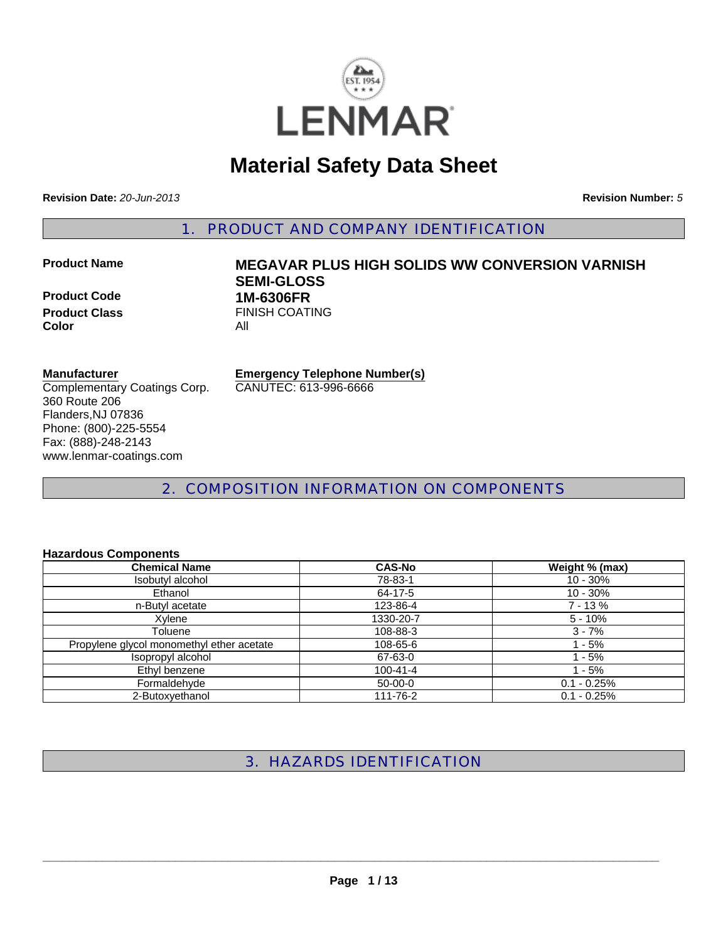

# **Material Safety Data Sheet**

**Revision Date:** *20-Jun-2013* **Revision Number:** *5*

1. PRODUCT AND COMPANY IDENTIFICATION

**Product Code 1M-6306FR Color** All

**Product Name MEGAVAR PLUS HIGH SOLIDS WW CONVERSION VARNISH SEMI-GLOSS Product Class** FINISH COATING

#### **Manufacturer**

Complementary Coatings Corp. 360 Route 206 Flanders,NJ 07836 Phone: (800)-225-5554 Fax: (888)-248-2143 www.lenmar-coatings.com

**Emergency Telephone Number(s)**

CANUTEC: 613-996-6666

2. COMPOSITION INFORMATION ON COMPONENTS

# **Hazardous Components**

| <b>Chemical Name</b>                      | <b>CAS-No</b>  | Weight % (max) |
|-------------------------------------------|----------------|----------------|
| Isobutyl alcohol                          | 78-83-1        | $10 - 30%$     |
| Ethanol                                   | 64-17-5        | $10 - 30%$     |
| n-Butyl acetate                           | 123-86-4       | $7 - 13%$      |
| Xylene                                    | 1330-20-7      | $5 - 10%$      |
| Toluene                                   | 108-88-3       | $3 - 7%$       |
| Propylene glycol monomethyl ether acetate | 108-65-6       | $1 - 5%$       |
| Isopropyl alcohol                         | 67-63-0        | $1 - 5%$       |
| Ethyl benzene                             | $100 - 41 - 4$ | $1 - 5%$       |
| Formaldehyde                              | $50-00-0$      | $0.1 - 0.25%$  |
| 2-Butoxyethanol                           | 111-76-2       | $0.1 - 0.25%$  |

3. HAZARDS IDENTIFICATION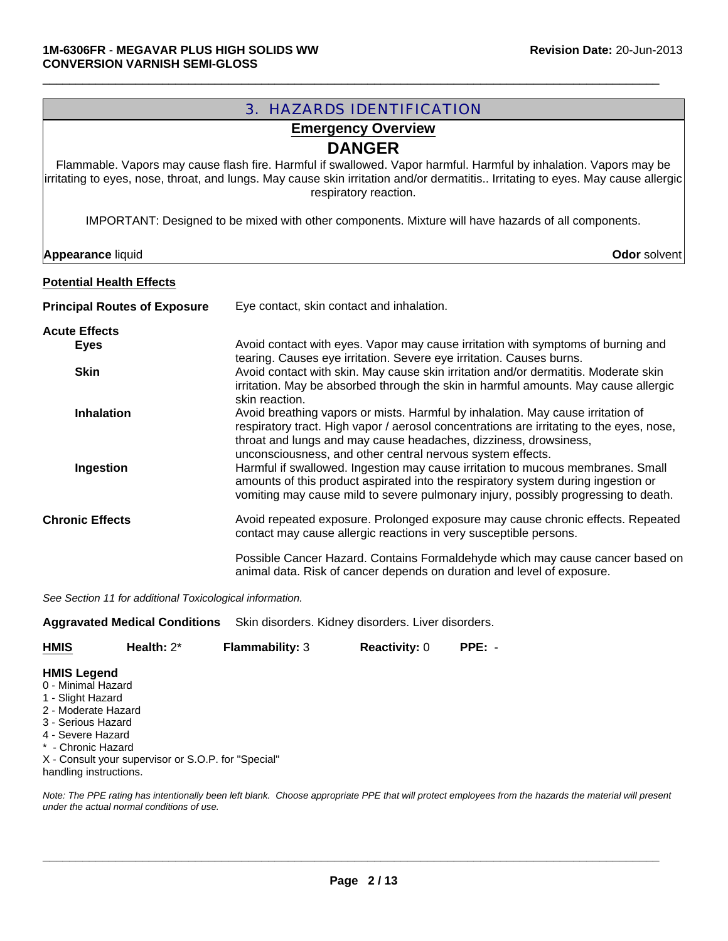| <b>3. HAZARDS IDENTIFICATION</b>                                                                                                                                                                                                                                                               |                                                                                                                                                                                                                                                                                                                          |  |  |
|------------------------------------------------------------------------------------------------------------------------------------------------------------------------------------------------------------------------------------------------------------------------------------------------|--------------------------------------------------------------------------------------------------------------------------------------------------------------------------------------------------------------------------------------------------------------------------------------------------------------------------|--|--|
| <b>Emergency Overview</b>                                                                                                                                                                                                                                                                      |                                                                                                                                                                                                                                                                                                                          |  |  |
| <b>DANGER</b><br>Flammable. Vapors may cause flash fire. Harmful if swallowed. Vapor harmful. Harmful by inhalation. Vapors may be<br>irritating to eyes, nose, throat, and lungs. May cause skin irritation and/or dermatitis Irritating to eyes. May cause allergic<br>respiratory reaction. |                                                                                                                                                                                                                                                                                                                          |  |  |
|                                                                                                                                                                                                                                                                                                | IMPORTANT: Designed to be mixed with other components. Mixture will have hazards of all components.                                                                                                                                                                                                                      |  |  |
| <b>Appearance liquid</b>                                                                                                                                                                                                                                                                       | Odor solvent                                                                                                                                                                                                                                                                                                             |  |  |
| <b>Potential Health Effects</b>                                                                                                                                                                                                                                                                |                                                                                                                                                                                                                                                                                                                          |  |  |
| <b>Principal Routes of Exposure</b>                                                                                                                                                                                                                                                            | Eye contact, skin contact and inhalation.                                                                                                                                                                                                                                                                                |  |  |
| <b>Acute Effects</b><br><b>Eyes</b>                                                                                                                                                                                                                                                            | Avoid contact with eyes. Vapor may cause irritation with symptoms of burning and                                                                                                                                                                                                                                         |  |  |
| <b>Skin</b>                                                                                                                                                                                                                                                                                    | tearing. Causes eye irritation. Severe eye irritation. Causes burns.<br>Avoid contact with skin. May cause skin irritation and/or dermatitis. Moderate skin<br>irritation. May be absorbed through the skin in harmful amounts. May cause allergic<br>skin reaction.                                                     |  |  |
| <b>Inhalation</b>                                                                                                                                                                                                                                                                              | Avoid breathing vapors or mists. Harmful by inhalation. May cause irritation of<br>respiratory tract. High vapor / aerosol concentrations are irritating to the eyes, nose,<br>throat and lungs and may cause headaches, dizziness, drowsiness,                                                                          |  |  |
| Ingestion                                                                                                                                                                                                                                                                                      | unconsciousness, and other central nervous system effects.<br>Harmful if swallowed. Ingestion may cause irritation to mucous membranes. Small<br>amounts of this product aspirated into the respiratory system during ingestion or<br>vomiting may cause mild to severe pulmonary injury, possibly progressing to death. |  |  |
| <b>Chronic Effects</b>                                                                                                                                                                                                                                                                         | Avoid repeated exposure. Prolonged exposure may cause chronic effects. Repeated<br>contact may cause allergic reactions in very susceptible persons.                                                                                                                                                                     |  |  |
|                                                                                                                                                                                                                                                                                                | Possible Cancer Hazard. Contains Formaldehyde which may cause cancer based on<br>animal data. Risk of cancer depends on duration and level of exposure.                                                                                                                                                                  |  |  |
| See Section 11 for additional Toxicological information.                                                                                                                                                                                                                                       |                                                                                                                                                                                                                                                                                                                          |  |  |

**Aggravated Medical Conditions** Skin disorders. Kidney disorders. Liver disorders.

| <b>HMIS</b> | Health: $2^*$ | <b>Flammability: 3</b> | <b>Reactivity: 0</b> | $PPE: -$ |
|-------------|---------------|------------------------|----------------------|----------|
|             |               |                        |                      |          |

#### **HMIS Legend**

- 0 Minimal Hazard
- 1 Slight Hazard
- 2 Moderate Hazard
- 3 Serious Hazard
- 4 Severe Hazard
- \* Chronic Hazard

X - Consult your supervisor or S.O.P. for "Special" handling instructions.

*Note: The PPE rating has intentionally been left blank. Choose appropriate PPE that will protect employees from the hazards the material will present under the actual normal conditions of use.*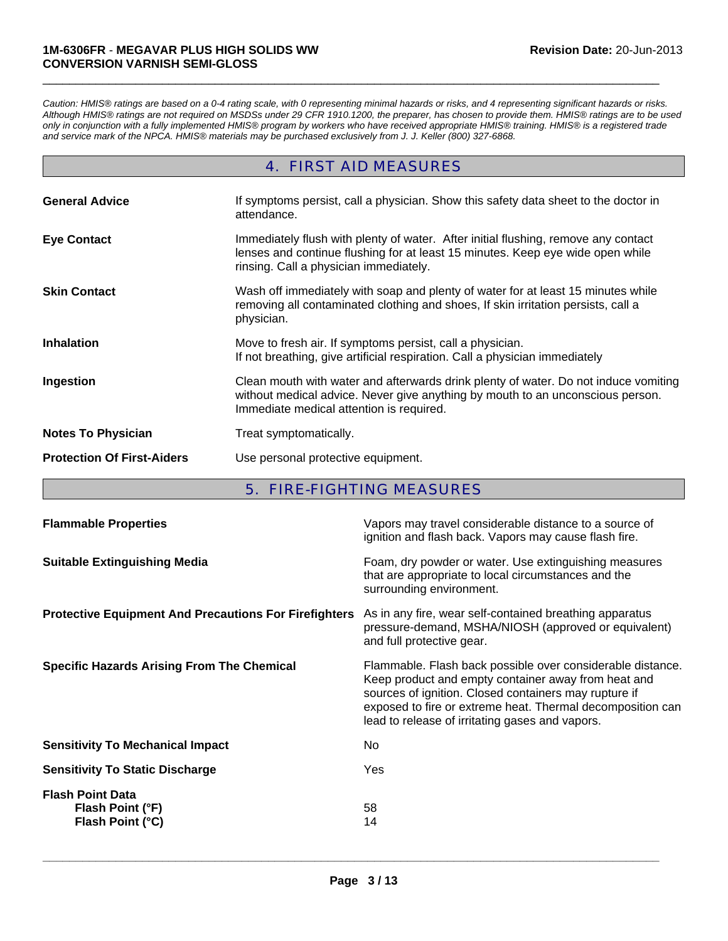*Caution: HMIS® ratings are based on a 0-4 rating scale, with 0 representing minimal hazards or risks, and 4 representing significant hazards or risks. Although HMIS® ratings are not required on MSDSs under 29 CFR 1910.1200, the preparer, has chosen to provide them. HMIS® ratings are to be used only in conjunction with a fully implemented HMIS® program by workers who have received appropriate HMIS® training. HMIS® is a registered trade and service mark of the NPCA. HMIS® materials may be purchased exclusively from J. J. Keller (800) 327-6868.*

 $\Box$ 

# 4. FIRST AID MEASURES

| <b>General Advice</b>             | If symptoms persist, call a physician. Show this safety data sheet to the doctor in<br>attendance.                                                                                                                |
|-----------------------------------|-------------------------------------------------------------------------------------------------------------------------------------------------------------------------------------------------------------------|
| <b>Eye Contact</b>                | Immediately flush with plenty of water. After initial flushing, remove any contact<br>lenses and continue flushing for at least 15 minutes. Keep eye wide open while<br>rinsing. Call a physician immediately.    |
| <b>Skin Contact</b>               | Wash off immediately with soap and plenty of water for at least 15 minutes while<br>removing all contaminated clothing and shoes, If skin irritation persists, call a<br>physician.                               |
| <b>Inhalation</b>                 | Move to fresh air. If symptoms persist, call a physician.<br>If not breathing, give artificial respiration. Call a physician immediately                                                                          |
| Ingestion                         | Clean mouth with water and afterwards drink plenty of water. Do not induce vomiting<br>without medical advice. Never give anything by mouth to an unconscious person.<br>Immediate medical attention is required. |
| <b>Notes To Physician</b>         | Treat symptomatically.                                                                                                                                                                                            |
| <b>Protection Of First-Aiders</b> | Use personal protective equipment.                                                                                                                                                                                |

# 5. FIRE-FIGHTING MEASURES

| <b>Flammable Properties</b>                                     | Vapors may travel considerable distance to a source of<br>ignition and flash back. Vapors may cause flash fire.                                                                                                                                                                             |
|-----------------------------------------------------------------|---------------------------------------------------------------------------------------------------------------------------------------------------------------------------------------------------------------------------------------------------------------------------------------------|
| <b>Suitable Extinguishing Media</b>                             | Foam, dry powder or water. Use extinguishing measures<br>that are appropriate to local circumstances and the<br>surrounding environment.                                                                                                                                                    |
| <b>Protective Equipment And Precautions For Firefighters</b>    | As in any fire, wear self-contained breathing apparatus<br>pressure-demand, MSHA/NIOSH (approved or equivalent)<br>and full protective gear.                                                                                                                                                |
| <b>Specific Hazards Arising From The Chemical</b>               | Flammable. Flash back possible over considerable distance.<br>Keep product and empty container away from heat and<br>sources of ignition. Closed containers may rupture if<br>exposed to fire or extreme heat. Thermal decomposition can<br>lead to release of irritating gases and vapors. |
| <b>Sensitivity To Mechanical Impact</b>                         | No.                                                                                                                                                                                                                                                                                         |
| <b>Sensitivity To Static Discharge</b>                          | Yes                                                                                                                                                                                                                                                                                         |
| <b>Flash Point Data</b><br>Flash Point (°F)<br>Flash Point (°C) | 58<br>14                                                                                                                                                                                                                                                                                    |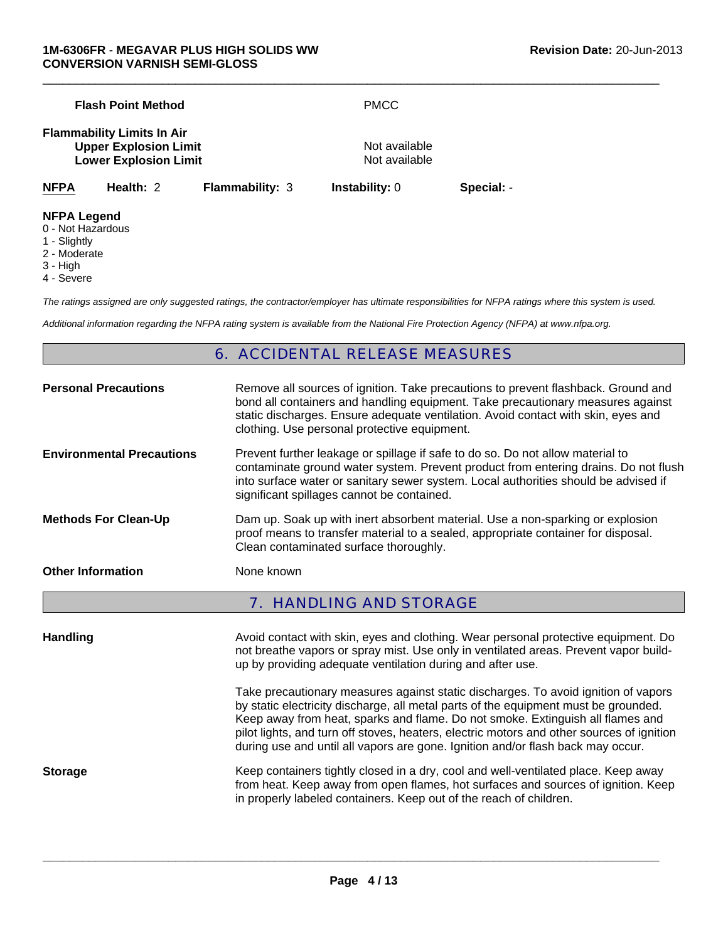|                                    | <b>Flash Point Method</b>                                                                         |                        | <b>PMCC</b>                    |            |  |
|------------------------------------|---------------------------------------------------------------------------------------------------|------------------------|--------------------------------|------------|--|
|                                    | <b>Flammability Limits In Air</b><br><b>Upper Explosion Limit</b><br><b>Lower Explosion Limit</b> |                        | Not available<br>Not available |            |  |
| <b>NFPA</b>                        | Health: 2                                                                                         | <b>Flammability: 3</b> | <b>Instability: 0</b>          | Special: - |  |
| <b>NFPA Legend</b><br>1 - Slightly | 0 - Not Hazardous                                                                                 |                        |                                |            |  |

- 2 Moderate
- 3 High
- 4 Severe

*The ratings assigned are only suggested ratings, the contractor/employer has ultimate responsibilities for NFPA ratings where this system is used.*

*Additional information regarding the NFPA rating system is available from the National Fire Protection Agency (NFPA) at www.nfpa.org.*

# 6. ACCIDENTAL RELEASE MEASURES

| <b>Personal Precautions</b>      | Remove all sources of ignition. Take precautions to prevent flashback. Ground and<br>bond all containers and handling equipment. Take precautionary measures against<br>static discharges. Ensure adequate ventilation. Avoid contact with skin, eyes and<br>clothing. Use personal protective equipment.  |
|----------------------------------|------------------------------------------------------------------------------------------------------------------------------------------------------------------------------------------------------------------------------------------------------------------------------------------------------------|
| <b>Environmental Precautions</b> | Prevent further leakage or spillage if safe to do so. Do not allow material to<br>contaminate ground water system. Prevent product from entering drains. Do not flush<br>into surface water or sanitary sewer system. Local authorities should be advised if<br>significant spillages cannot be contained. |
| <b>Methods For Clean-Up</b>      | Dam up. Soak up with inert absorbent material. Use a non-sparking or explosion<br>proof means to transfer material to a sealed, appropriate container for disposal.<br>Clean contaminated surface thoroughly.                                                                                              |
| <b>Other Information</b>         | None known                                                                                                                                                                                                                                                                                                 |
|                                  | <b>7. HANDLING AND STORAGE</b>                                                                                                                                                                                                                                                                             |

**Handling Avoid contact with skin, eyes and clothing. Wear personal protective equipment. Do and protective equipment. Do** not breathe vapors or spray mist. Use only in ventilated areas. Prevent vapor buildup by providing adequate ventilation during and after use. Take precautionary measures against static discharges. To avoid ignition of vapors by static electricity discharge, all metal parts of the equipment must be grounded. Keep away from heat, sparks and flame. Do not smoke. Extinguish all flames and pilot lights, and turn off stoves, heaters, electric motors and other sources of ignition during use and until all vapors are gone. Ignition and/or flash back may occur. **Storage** Keep containers tightly closed in a dry, cool and well-ventilated place. Keep away from heat. Keep away from open flames, hot surfaces and sources of ignition. Keep in properly labeled containers. Keep out of the reach of children.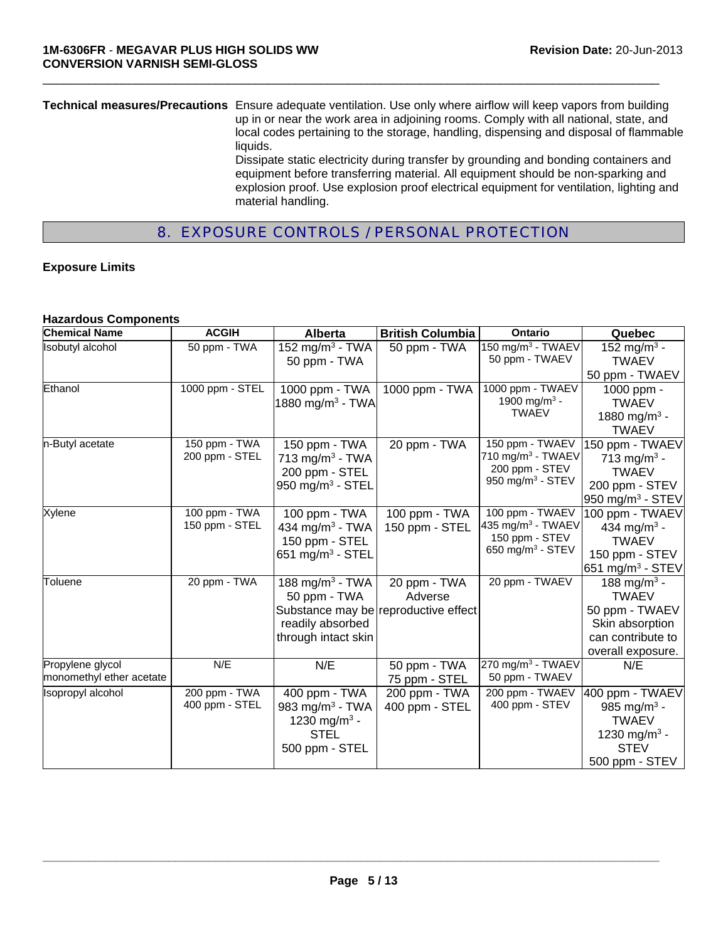**Technical measures/Precautions** Ensure adequate ventilation. Use only where airflow will keep vapors from building up in or near the work area in adjoining rooms. Comply with all national, state, and local codes pertaining to the storage, handling, dispensing and disposal of flammable liquids. Dissipate static electricity during transfer by grounding and bonding containers and equipment before transferring material. All equipment should be non-sparking and explosion proof. Use explosion proof electrical equipment for ventilation, lighting and material handling.

 $\Box$ 

# 8. EXPOSURE CONTROLS / PERSONAL PROTECTION

#### **Exposure Limits**

#### **Hazardous Components**

| <b>Chemical Name</b>                         | <b>ACGIH</b>                    | <b>Alberta</b>                                                                                            | <b>British Columbia</b>                                         | <b>Ontario</b>                                                                            | Quebec                                                                                                                  |
|----------------------------------------------|---------------------------------|-----------------------------------------------------------------------------------------------------------|-----------------------------------------------------------------|-------------------------------------------------------------------------------------------|-------------------------------------------------------------------------------------------------------------------------|
| <b>Isobutyl alcohol</b>                      | 50 ppm - TWA                    | 152 mg/m <sup>3</sup> - TWA<br>50 ppm - TWA                                                               | 50 ppm - TWA                                                    | 150 mg/m <sup>3</sup> - TWAEV<br>50 ppm - TWAEV                                           | 152 mg/m <sup>3</sup> -<br><b>TWAEV</b>                                                                                 |
|                                              |                                 |                                                                                                           |                                                                 |                                                                                           | 50 ppm - TWAEV                                                                                                          |
| Ethanol                                      | 1000 ppm - STEL                 | 1000 ppm - TWA<br>1880 mg/m <sup>3</sup> - TWA                                                            | 1000 ppm - TWA                                                  | 1000 ppm - TWAEV<br>1900 mg/m <sup>3</sup> -<br><b>TWAEV</b>                              | 1000 ppm -<br><b>TWAEV</b><br>1880 mg/m <sup>3</sup> -<br><b>TWAEV</b>                                                  |
| n-Butyl acetate                              | 150 ppm - TWA<br>200 ppm - STEL | 150 ppm - TWA<br>713 mg/m <sup>3</sup> - TWA<br>200 ppm - STEL<br>950 mg/m $3$ - STEL                     | 20 ppm - TWA                                                    | 150 ppm - TWAEV<br>710 mg/m $3$ - TWAEV<br>200 ppm - STEV<br>950 mg/m $3$ - STEV          | 150 ppm - TWAEV<br>713 mg/m <sup>3</sup> -<br><b>TWAEV</b><br>200 ppm - STEV<br>950 mg/m $3$ - STEV                     |
| Xylene                                       | 100 ppm - TWA<br>150 ppm - STEL | 100 ppm - TWA<br>434 mg/m <sup>3</sup> - TWA<br>150 ppm - STEL<br>651 mg/m $3$ - STEL                     | 100 ppm - TWA<br>150 ppm - STEL                                 | 100 ppm - TWAEV<br>435 mg/m <sup>3</sup> - TWAEV<br>150 ppm - STEV<br>650 mg/m $3$ - STEV | 100 ppm - TWAEV<br>434 mg/m <sup>3</sup> -<br><b>TWAEV</b><br>150 ppm - STEV<br>651 mg/m <sup>3</sup> - STEV            |
| Toluene                                      | 20 ppm - TWA                    | 188 mg/m $3$ - TWA<br>50 ppm - TWA<br>readily absorbed<br>through intact skin                             | 20 ppm - TWA<br>Adverse<br>Substance may be reproductive effect | 20 ppm - TWAEV                                                                            | $188 \text{ mg/m}^3$ -<br><b>TWAEV</b><br>50 ppm - TWAEV<br>Skin absorption<br>can contribute to<br>overall exposure.   |
| Propylene glycol<br>monomethyl ether acetate | N/E                             | N/E                                                                                                       | 50 ppm - TWA<br>75 ppm - STEL                                   | $270 \text{ mg/m}^3$ - TWAEV<br>50 ppm - TWAEV                                            | N/E                                                                                                                     |
| Isopropyl alcohol                            | 200 ppm - TWA<br>400 ppm - STEL | 400 ppm - TWA<br>983 mg/m <sup>3</sup> - TWA<br>1230 mg/m <sup>3</sup> -<br><b>STEL</b><br>500 ppm - STEL | 200 ppm - TWA<br>400 ppm - STEL                                 | 200 ppm - TWAEV<br>400 ppm - STEV                                                         | 400 ppm - TWAEV<br>985 mg/m <sup>3</sup> -<br><b>TWAEV</b><br>1230 mg/m <sup>3</sup> -<br><b>STEV</b><br>500 ppm - STEV |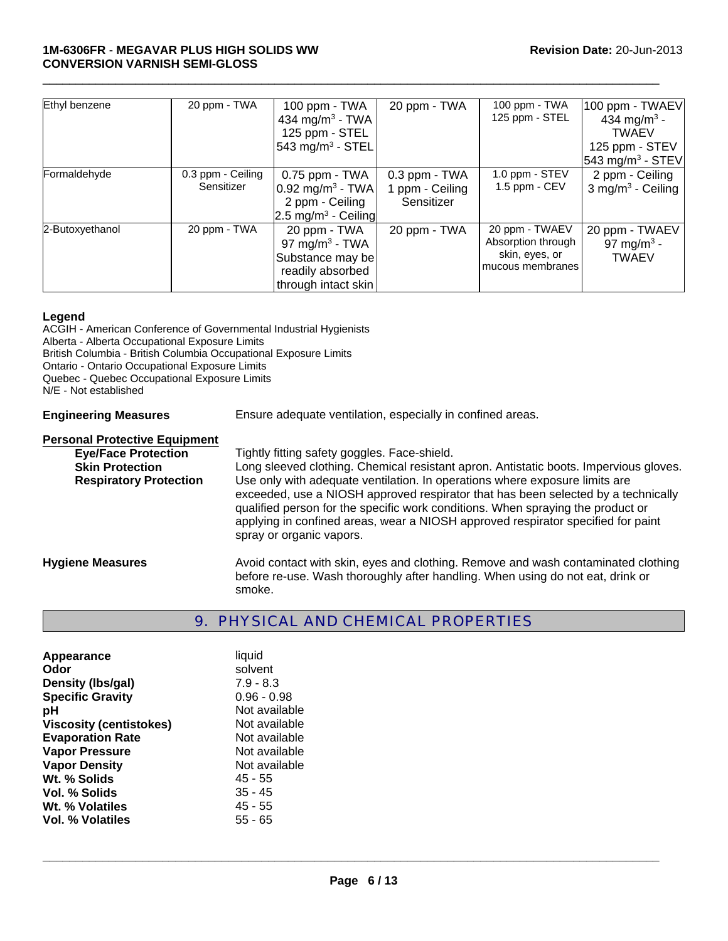| Ethyl benzene   | 20 ppm - TWA                    | 100 ppm - TWA<br>434 mg/m <sup>3</sup> - TWA<br>125 ppm - STEL<br>543 mg/m <sup>3</sup> - STEL            | 20 ppm - TWA                                       | 100 ppm - TWA<br>125 ppm - STEL                                            | 100 ppm - TWAEV<br>434 mg/m <sup>3</sup> -<br><b>TWAEV</b><br>125 ppm - STEV<br>543 mg/m <sup>3</sup> - STEV |
|-----------------|---------------------------------|-----------------------------------------------------------------------------------------------------------|----------------------------------------------------|----------------------------------------------------------------------------|--------------------------------------------------------------------------------------------------------------|
| Formaldehyde    | 0.3 ppm - Ceiling<br>Sensitizer | $0.75$ ppm - TWA<br>$0.92$ mg/m <sup>3</sup> - TWA<br>2 ppm - Ceiling<br>2.5 mg/m <sup>3</sup> - Ceiling  | $0.3$ ppm $-$ TWA<br>1 ppm - Ceiling<br>Sensitizer | 1.0 ppm - STEV<br>1.5 ppm $-$ CEV                                          | 2 ppm - Ceiling<br>$3$ mg/m <sup>3</sup> - Ceiling                                                           |
| 2-Butoxyethanol | 20 ppm - TWA                    | 20 ppm - TWA<br>97 mg/m <sup>3</sup> - TWA<br>Substance may be<br>readily absorbed<br>through intact skin | 20 ppm - TWA                                       | 20 ppm - TWAEV<br>Absorption through<br>skin, eyes, or<br>mucous membranes | 20 ppm - TWAEV<br>97 mg/m <sup>3</sup> -<br><b>TWAEV</b>                                                     |

#### **Legend**

ACGIH - American Conference of Governmental Industrial Hygienists Alberta - Alberta Occupational Exposure Limits British Columbia - British Columbia Occupational Exposure Limits Ontario - Ontario Occupational Exposure Limits Quebec - Quebec Occupational Exposure Limits N/E - Not established **Engineering Measures** Ensure adequate ventilation, especially in confined areas.

# **Personal Protective Equipment<br>Eve/Face Protection** Tightly fitting safety goggles. Face-shield. **Skin Protection Long sleeved clothing. Chemical resistant apron. Antistatic boots. Impervious gloves. Respiratory Protection** Use only with adequate ventilation. In operations where exposure limits are exceeded, use a NIOSH approved respirator that has been selected by a technically qualified person for the specific work conditions. When spraying the product or applying in confined areas, wear a NIOSH approved respirator specified for paint spray or organic vapors. **Hygiene Measures** Avoid contact with skin, eyes and clothing. Remove and wash contaminated clothing before re-use. Wash thoroughly after handling. When using do not eat, drink or

# 9. PHYSICAL AND CHEMICAL PROPERTIES

| Appearance                     | liquid        |
|--------------------------------|---------------|
| Odor                           | solvent       |
| Density (Ibs/gal)              | $7.9 - 8.3$   |
| <b>Specific Gravity</b>        | $0.96 - 0.98$ |
| рH                             | Not available |
| <b>Viscosity (centistokes)</b> | Not available |
| <b>Evaporation Rate</b>        | Not available |
| <b>Vapor Pressure</b>          | Not available |
| <b>Vapor Density</b>           | Not available |
| Wt. % Solids                   | $45 - 55$     |
| Vol. % Solids                  | $35 - 45$     |
| Wt. % Volatiles                | $45 - 55$     |
| Vol. % Volatiles               | $55 - 65$     |
|                                |               |

smoke.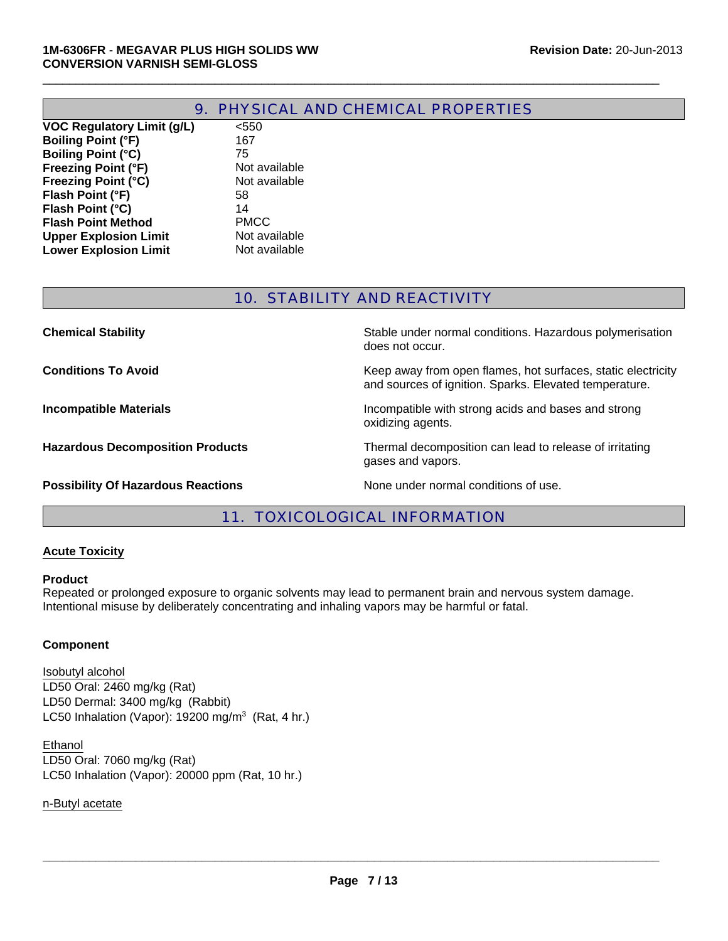**Upper Explosion Limit** Not available<br> **Lower Explosion Limit** Not available

**Lower Explosion Limit** 

|                                   | 9. PHYSICAL AND CHEMICAL PROPERTIES |
|-----------------------------------|-------------------------------------|
| <b>VOC Regulatory Limit (g/L)</b> | $<$ 550                             |
| <b>Boiling Point (°F)</b>         | 167                                 |
| <b>Boiling Point (°C)</b>         | 75                                  |
| <b>Freezing Point (°F)</b>        | Not available                       |
| <b>Freezing Point (°C)</b>        | Not available                       |
| Flash Point (°F)                  | 58                                  |
| Flash Point (°C)                  | 14                                  |
| <b>Flash Point Method</b>         | <b>PMCC</b>                         |

 $\Box$ 

# 10. STABILITY AND REACTIVITY

| <b>Chemical Stability</b>                 | Stable under normal conditions. Hazardous polymerisation<br>does not occur.                                            |
|-------------------------------------------|------------------------------------------------------------------------------------------------------------------------|
| <b>Conditions To Avoid</b>                | Keep away from open flames, hot surfaces, static electricity<br>and sources of ignition. Sparks. Elevated temperature. |
| <b>Incompatible Materials</b>             | Incompatible with strong acids and bases and strong<br>oxidizing agents.                                               |
| <b>Hazardous Decomposition Products</b>   | Thermal decomposition can lead to release of irritating<br>gases and vapors.                                           |
| <b>Possibility Of Hazardous Reactions</b> | None under normal conditions of use.                                                                                   |

# 11. TOXICOLOGICAL INFORMATION

#### **Acute Toxicity**

#### **Product**

Repeated or prolonged exposure to organic solvents may lead to permanent brain and nervous system damage. Intentional misuse by deliberately concentrating and inhaling vapors may be harmful or fatal.

#### **Component**

LD50 Dermal: 3400 mg/kg (Rabbit) Isobutyl alcohol LC50 Inhalation (Vapor): 19200 mg/m $3$  (Rat, 4 hr.) LD50 Oral: 2460 mg/kg (Rat)

LC50 Inhalation (Vapor): 20000 ppm (Rat, 10 hr.) Ethanol LD50 Oral: 7060 mg/kg (Rat)

n-Butyl acetate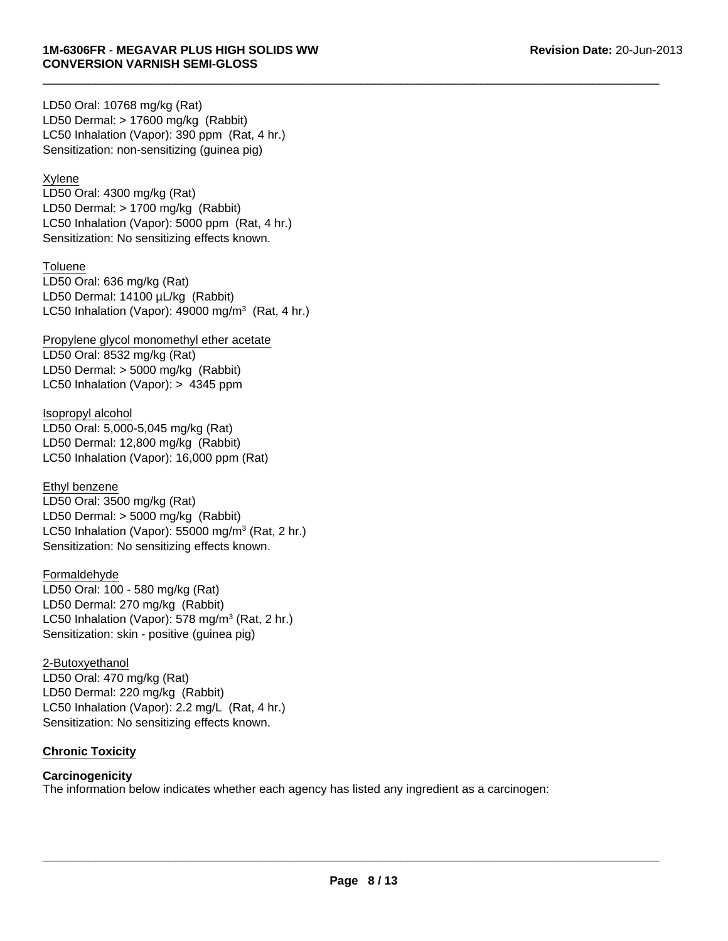LD50 Dermal: > 17600 mg/kg (Rabbit) LC50 Inhalation (Vapor): 390 ppm (Rat, 4 hr.) LD50 Oral: 10768 mg/kg (Rat) Sensitization: non-sensitizing (guinea pig)

# Xylene

LD50 Oral: 4300 mg/kg (Rat) LD50 Dermal: > 1700 mg/kg (Rabbit) LC50 Inhalation (Vapor): 5000 ppm (Rat, 4 hr.) Sensitization: No sensitizing effects known.

# **Toluene**

LD50 Oral: 636 mg/kg (Rat) LD50 Dermal: 14100 µL/kg (Rabbit) LC50 Inhalation (Vapor):  $49000$  mg/m<sup>3</sup> (Rat, 4 hr.)

Propylene glycol monomethyl ether acetate LD50 Oral: 8532 mg/kg (Rat) LD50 Dermal: > 5000 mg/kg (Rabbit) LC50 Inhalation (Vapor): > 4345 ppm

Isopropyl alcohol LD50 Oral: 5,000-5,045 mg/kg (Rat) LD50 Dermal: 12,800 mg/kg (Rabbit) LC50 Inhalation (Vapor): 16,000 ppm (Rat)

LD50 Oral: 3500 mg/kg (Rat) LD50 Dermal: > 5000 mg/kg (Rabbit) LC50 Inhalation (Vapor): 55000 mg/m<sup>3</sup> (Rat, 2 hr.) Sensitization: No sensitizing effects known. Ethyl benzene

# Formaldehyde

LD50 Oral: 100 - 580 mg/kg (Rat) LD50 Dermal: 270 mg/kg (Rabbit) LC50 Inhalation (Vapor): 578 mg/m $3$  (Rat, 2 hr.) Sensitization: skin - positive (guinea pig)

2-Butoxyethanol LD50 Oral: 470 mg/kg (Rat) LD50 Dermal: 220 mg/kg (Rabbit) LC50 Inhalation (Vapor): 2.2 mg/L (Rat, 4 hr.) Sensitization: No sensitizing effects known.

# **Chronic Toxicity**

# **Carcinogenicity**

The information below indicates whether each agency has listed any ingredient as a carcinogen: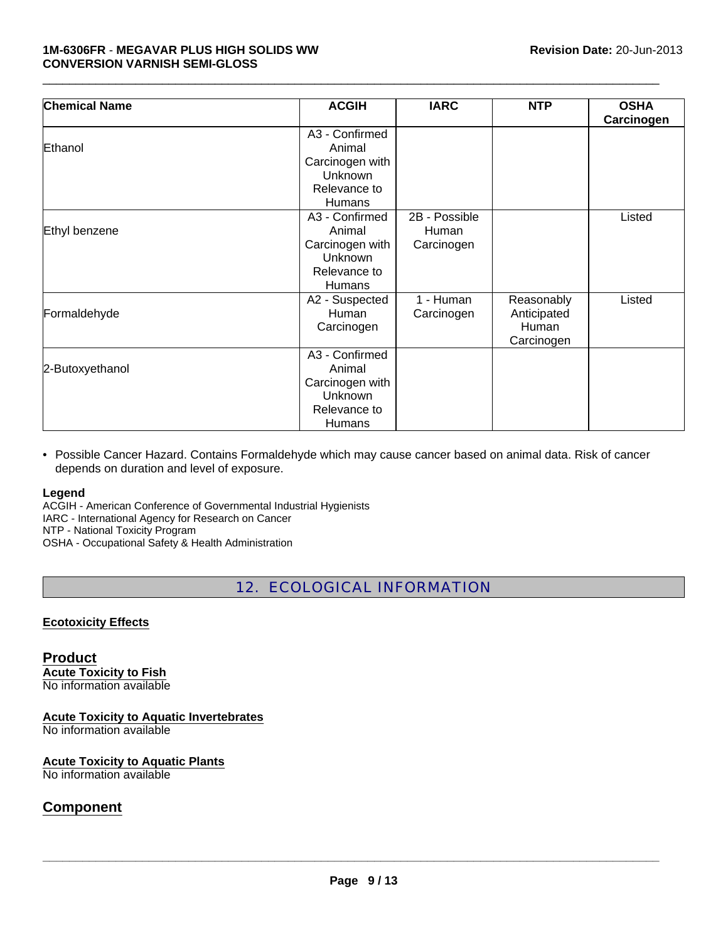#### **1M-6306FR** - **MEGAVAR PLUS HIGH SOLIDS WW Revision Date:** 20-Jun-2013 **CONVERSION VARNISH SEMI-GLOSS**

| <b>Chemical Name</b> | <b>ACGIH</b>    | <b>IARC</b>   | <b>NTP</b>  | <b>OSHA</b> |
|----------------------|-----------------|---------------|-------------|-------------|
|                      |                 |               |             | Carcinogen  |
|                      | A3 - Confirmed  |               |             |             |
| Ethanol              | Animal          |               |             |             |
|                      | Carcinogen with |               |             |             |
|                      | Unknown         |               |             |             |
|                      | Relevance to    |               |             |             |
|                      | <b>Humans</b>   |               |             |             |
|                      | A3 - Confirmed  | 2B - Possible |             | Listed      |
| Ethyl benzene        | Animal          | Human         |             |             |
|                      | Carcinogen with | Carcinogen    |             |             |
|                      | <b>Unknown</b>  |               |             |             |
|                      | Relevance to    |               |             |             |
|                      | <b>Humans</b>   |               |             |             |
|                      | A2 - Suspected  | 1 - Human     | Reasonably  | Listed      |
| Formaldehyde         | Human           | Carcinogen    | Anticipated |             |
|                      | Carcinogen      |               | Human       |             |
|                      |                 |               | Carcinogen  |             |
|                      | A3 - Confirmed  |               |             |             |
| 2-Butoxyethanol      | Animal          |               |             |             |
|                      | Carcinogen with |               |             |             |
|                      | <b>Unknown</b>  |               |             |             |
|                      | Relevance to    |               |             |             |
|                      | Humans          |               |             |             |

 $\Box$ 

• Possible Cancer Hazard. Contains Formaldehyde which may cause cancer based on animal data. Risk of cancer depends on duration and level of exposure.

# **Legend**

ACGIH - American Conference of Governmental Industrial Hygienists IARC - International Agency for Research on Cancer NTP - National Toxicity Program OSHA - Occupational Safety & Health Administration

12. ECOLOGICAL INFORMATION

# **Ecotoxicity Effects**

**Product Acute Toxicity to Fish** No information available

**Acute Toxicity to Aquatic Invertebrates**

No information available

# **Acute Toxicity to Aquatic Plants**

No information available

# **Component**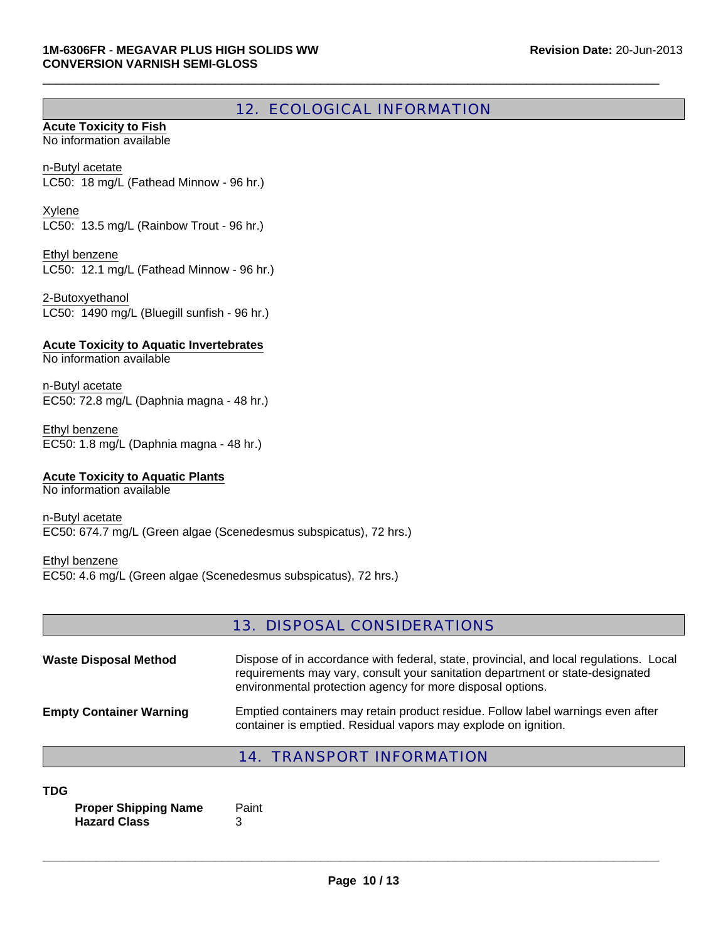# 12. ECOLOGICAL INFORMATION

 $\Box$ 

#### **Acute Toxicity to Fish** No information available

LC50: 18 mg/L (Fathead Minnow - 96 hr.) n-Butyl acetate

Xylene LC50: 13.5 mg/L (Rainbow Trout - 96 hr.)

LC50: 12.1 mg/L (Fathead Minnow - 96 hr.) Ethyl benzene

2-Butoxyethanol LC50: 1490 mg/L (Bluegill sunfish - 96 hr.)

**Acute Toxicity to Aquatic Invertebrates**

No information available

EC50: 72.8 mg/L (Daphnia magna - 48 hr.) n-Butyl acetate

Ethyl benzene EC50: 1.8 mg/L (Daphnia magna - 48 hr.)

# **Acute Toxicity to Aquatic Plants**

No information available

n-Butyl acetate EC50: 674.7 mg/L (Green algae (Scenedesmus subspicatus), 72 hrs.)

#### Ethyl benzene

EC50: 4.6 mg/L (Green algae (Scenedesmus subspicatus), 72 hrs.)

# 13. DISPOSAL CONSIDERATIONS

| <b>Waste Disposal Method</b>   | Dispose of in accordance with federal, state, provincial, and local regulations. Local<br>requirements may vary, consult your sanitation department or state-designated<br>environmental protection agency for more disposal options. |
|--------------------------------|---------------------------------------------------------------------------------------------------------------------------------------------------------------------------------------------------------------------------------------|
| <b>Empty Container Warning</b> | Emptied containers may retain product residue. Follow label warnings even after<br>container is emptied. Residual vapors may explode on ignition.                                                                                     |

# 14. TRANSPORT INFORMATION

#### **TDG**

**Proper Shipping Name** Paint **Hazard Class** 3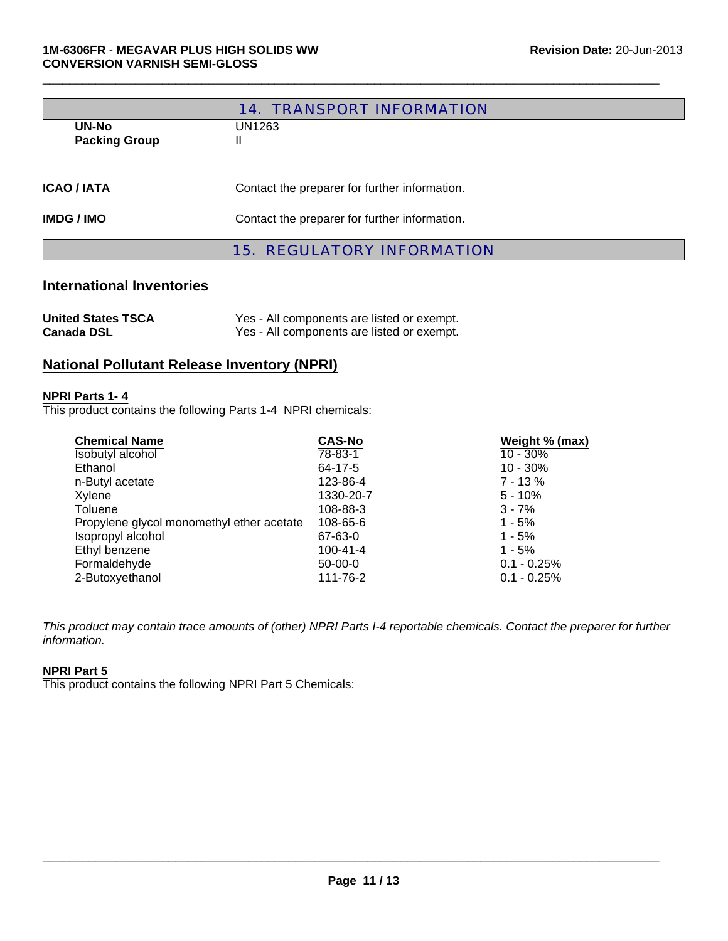|                                      | <b>14. TRANSPORT INFORMATION</b>              |  |
|--------------------------------------|-----------------------------------------------|--|
| <b>UN-No</b><br><b>Packing Group</b> | UN1263<br>$\mathbf{H}$                        |  |
| <b>ICAO / IATA</b>                   | Contact the preparer for further information. |  |
| <b>IMDG/IMO</b>                      | Contact the preparer for further information. |  |
|                                      | <b>15. REGULATORY INFORMATION</b>             |  |

# **International Inventories**

| <b>United States TSCA</b> | Yes - All components are listed or exempt. |
|---------------------------|--------------------------------------------|
| <b>Canada DSL</b>         | Yes - All components are listed or exempt. |

# **National Pollutant Release Inventory (NPRI)**

#### **NPRI Parts 1- 4**

This product contains the following Parts 1-4 NPRI chemicals:

| <b>Chemical Name</b>                      | <b>CAS-No</b>  | Weight % (max) |
|-------------------------------------------|----------------|----------------|
| Isobutyl alcohol                          | 78-83-1        | $10 - 30%$     |
| Ethanol                                   | 64-17-5        | $10 - 30%$     |
| n-Butyl acetate                           | 123-86-4       | $7 - 13 \%$    |
| Xylene                                    | 1330-20-7      | $5 - 10%$      |
| Toluene                                   | 108-88-3       | $3 - 7%$       |
| Propylene glycol monomethyl ether acetate | 108-65-6       | $1 - 5%$       |
| Isopropyl alcohol                         | 67-63-0        | $1 - 5%$       |
| Ethyl benzene                             | $100 - 41 - 4$ | $1 - 5%$       |
| Formaldehyde                              | $50-00-0$      | $0.1 - 0.25%$  |
| 2-Butoxyethanol                           | 111-76-2       | $0.1 - 0.25%$  |

*This product may contain trace amounts of (other) NPRI Parts I-4 reportable chemicals. Contact the preparer for further information.*

# **NPRI Part 5**

This product contains the following NPRI Part 5 Chemicals: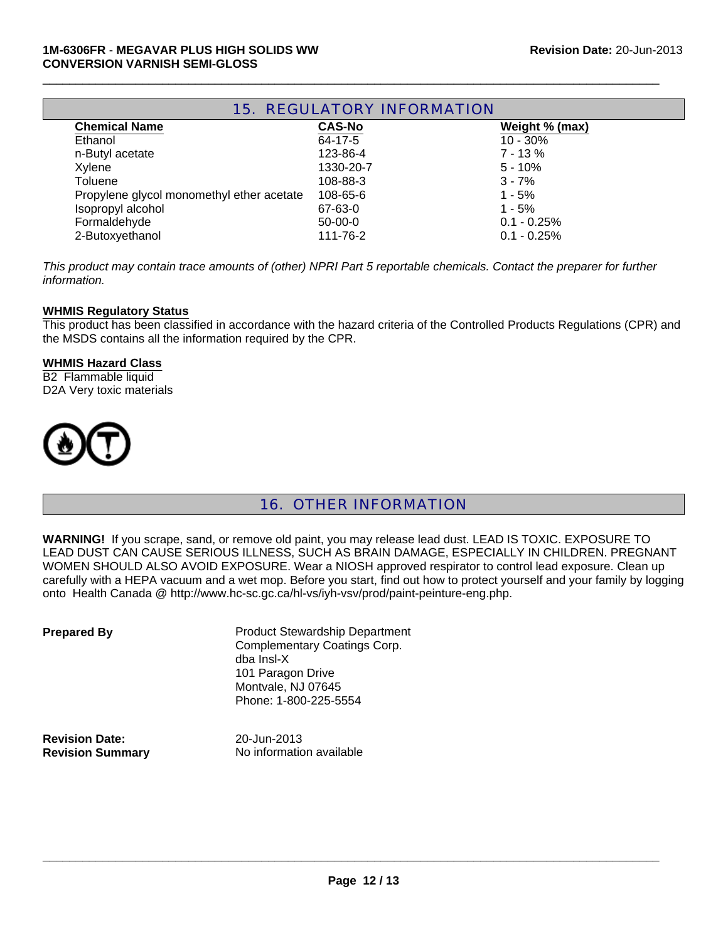| <b>15. REGULATORY INFORMATION</b>         |               |                |
|-------------------------------------------|---------------|----------------|
| <b>Chemical Name</b>                      | <b>CAS-No</b> | Weight % (max) |
| Ethanol                                   | $64 - 17 - 5$ | $10 - 30\%$    |
| n-Butyl acetate                           | 123-86-4      | $7 - 13%$      |
| Xylene                                    | 1330-20-7     | $5 - 10%$      |
| Toluene                                   | 108-88-3      | $3 - 7%$       |
| Propylene glycol monomethyl ether acetate | 108-65-6      | $1 - 5%$       |
| Isopropyl alcohol                         | 67-63-0       | $1 - 5%$       |
| Formaldehyde                              | $50-00-0$     | $0.1 - 0.25%$  |
| 2-Butoxyethanol                           | 111-76-2      | $0.1 - 0.25%$  |

*This product may contain trace amounts of (other) NPRI Part 5 reportable chemicals. Contact the preparer for further information.*

#### **WHMIS Regulatory Status**

This product has been classified in accordance with the hazard criteria of the Controlled Products Regulations (CPR) and the MSDS contains all the information required by the CPR.

#### **WHMIS Hazard Class**

B2 Flammable liquid D2A Very toxic materials



16. OTHER INFORMATION

**WARNING!** If you scrape, sand, or remove old paint, you may release lead dust. LEAD IS TOXIC. EXPOSURE TO LEAD DUST CAN CAUSE SERIOUS ILLNESS, SUCH AS BRAIN DAMAGE, ESPECIALLY IN CHILDREN. PREGNANT WOMEN SHOULD ALSO AVOID EXPOSURE. Wear a NIOSH approved respirator to control lead exposure. Clean up carefully with a HEPA vacuum and a wet mop. Before you start, find out how to protect yourself and your family by logging onto Health Canada @ http://www.hc-sc.gc.ca/hl-vs/iyh-vsv/prod/paint-peinture-eng.php.

| <b>Prepared By</b>      | <b>Product Stewardship Department</b><br><b>Complementary Coatings Corp.</b><br>dba Insl-X<br>101 Paragon Drive<br>Montvale, NJ 07645<br>Phone: 1-800-225-5554 |
|-------------------------|----------------------------------------------------------------------------------------------------------------------------------------------------------------|
| <b>Revision Date:</b>   | 20-Jun-2013                                                                                                                                                    |
| <b>Revision Summary</b> | No information available                                                                                                                                       |